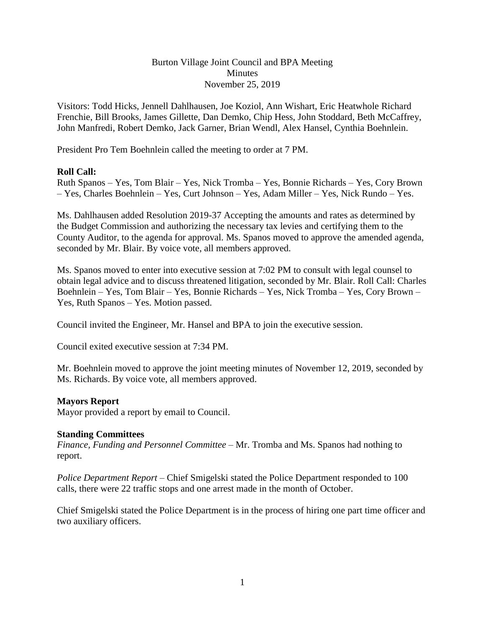# Burton Village Joint Council and BPA Meeting Minutes November 25, 2019

Visitors: Todd Hicks, Jennell Dahlhausen, Joe Koziol, Ann Wishart, Eric Heatwhole Richard Frenchie, Bill Brooks, James Gillette, Dan Demko, Chip Hess, John Stoddard, Beth McCaffrey, John Manfredi, Robert Demko, Jack Garner, Brian Wendl, Alex Hansel, Cynthia Boehnlein.

President Pro Tem Boehnlein called the meeting to order at 7 PM.

# **Roll Call:**

Ruth Spanos – Yes, Tom Blair – Yes, Nick Tromba – Yes, Bonnie Richards – Yes, Cory Brown – Yes, Charles Boehnlein – Yes, Curt Johnson – Yes, Adam Miller – Yes, Nick Rundo – Yes.

Ms. Dahlhausen added Resolution 2019-37 Accepting the amounts and rates as determined by the Budget Commission and authorizing the necessary tax levies and certifying them to the County Auditor, to the agenda for approval. Ms. Spanos moved to approve the amended agenda, seconded by Mr. Blair. By voice vote, all members approved.

Ms. Spanos moved to enter into executive session at 7:02 PM to consult with legal counsel to obtain legal advice and to discuss threatened litigation, seconded by Mr. Blair. Roll Call: Charles Boehnlein – Yes, Tom Blair – Yes, Bonnie Richards – Yes, Nick Tromba – Yes, Cory Brown – Yes, Ruth Spanos – Yes. Motion passed.

Council invited the Engineer, Mr. Hansel and BPA to join the executive session.

Council exited executive session at 7:34 PM.

Mr. Boehnlein moved to approve the joint meeting minutes of November 12, 2019, seconded by Ms. Richards. By voice vote, all members approved.

# **Mayors Report**

Mayor provided a report by email to Council.

#### **Standing Committees**

*Finance, Funding and Personnel Committee –* Mr. Tromba and Ms. Spanos had nothing to report.

*Police Department Report –* Chief Smigelski stated the Police Department responded to 100 calls, there were 22 traffic stops and one arrest made in the month of October.

Chief Smigelski stated the Police Department is in the process of hiring one part time officer and two auxiliary officers.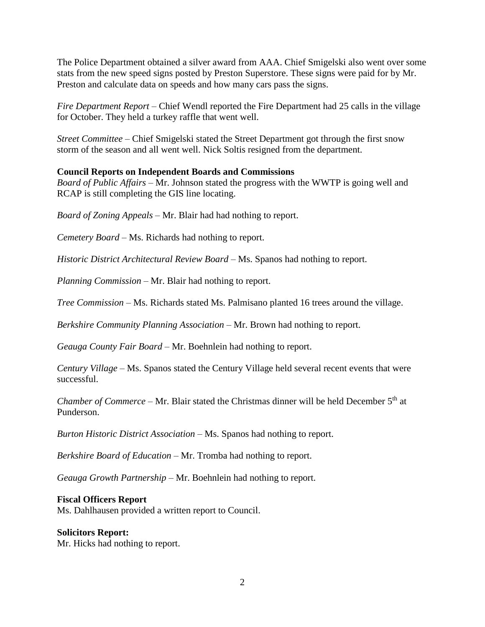The Police Department obtained a silver award from AAA. Chief Smigelski also went over some stats from the new speed signs posted by Preston Superstore. These signs were paid for by Mr. Preston and calculate data on speeds and how many cars pass the signs.

*Fire Department Report –* Chief Wendl reported the Fire Department had 25 calls in the village for October. They held a turkey raffle that went well.

*Street Committee –* Chief Smigelski stated the Street Department got through the first snow storm of the season and all went well. Nick Soltis resigned from the department.

# **Council Reports on Independent Boards and Commissions**

*Board of Public Affairs –* Mr. Johnson stated the progress with the WWTP is going well and RCAP is still completing the GIS line locating.

*Board of Zoning Appeals –* Mr. Blair had had nothing to report.

*Cemetery Board –* Ms. Richards had nothing to report.

*Historic District Architectural Review Board –* Ms. Spanos had nothing to report.

*Planning Commission –* Mr. Blair had nothing to report.

*Tree Commission –* Ms. Richards stated Ms. Palmisano planted 16 trees around the village.

*Berkshire Community Planning Association –* Mr. Brown had nothing to report.

*Geauga County Fair Board –* Mr. Boehnlein had nothing to report.

*Century Village –* Ms. Spanos stated the Century Village held several recent events that were successful.

*Chamber of Commerce –* Mr. Blair stated the Christmas dinner will be held December 5<sup>th</sup> at Punderson.

*Burton Historic District Association –* Ms. Spanos had nothing to report.

*Berkshire Board of Education –* Mr. Tromba had nothing to report.

*Geauga Growth Partnership –* Mr. Boehnlein had nothing to report.

# **Fiscal Officers Report**

Ms. Dahlhausen provided a written report to Council.

# **Solicitors Report:**

Mr. Hicks had nothing to report.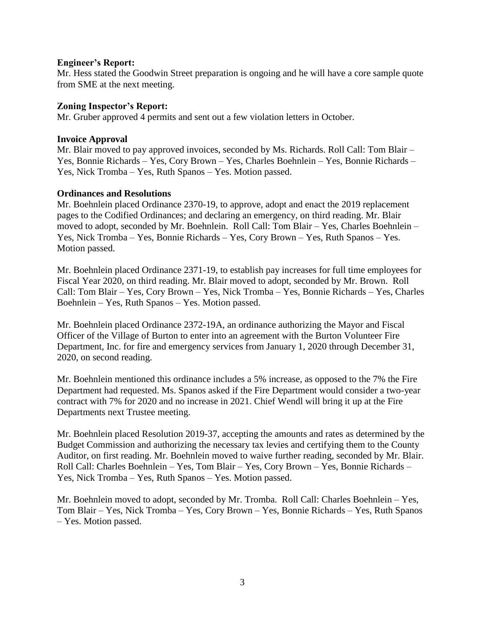### **Engineer's Report:**

Mr. Hess stated the Goodwin Street preparation is ongoing and he will have a core sample quote from SME at the next meeting.

### **Zoning Inspector's Report:**

Mr. Gruber approved 4 permits and sent out a few violation letters in October.

### **Invoice Approval**

Mr. Blair moved to pay approved invoices, seconded by Ms. Richards. Roll Call: Tom Blair – Yes, Bonnie Richards – Yes, Cory Brown – Yes, Charles Boehnlein – Yes, Bonnie Richards – Yes, Nick Tromba – Yes, Ruth Spanos – Yes. Motion passed.

# **Ordinances and Resolutions**

Mr. Boehnlein placed Ordinance 2370-19, to approve, adopt and enact the 2019 replacement pages to the Codified Ordinances; and declaring an emergency, on third reading. Mr. Blair moved to adopt, seconded by Mr. Boehnlein. Roll Call: Tom Blair – Yes, Charles Boehnlein – Yes, Nick Tromba – Yes, Bonnie Richards – Yes, Cory Brown – Yes, Ruth Spanos – Yes. Motion passed.

Mr. Boehnlein placed Ordinance 2371-19, to establish pay increases for full time employees for Fiscal Year 2020, on third reading. Mr. Blair moved to adopt, seconded by Mr. Brown. Roll Call: Tom Blair – Yes, Cory Brown – Yes, Nick Tromba – Yes, Bonnie Richards – Yes, Charles Boehnlein – Yes, Ruth Spanos – Yes. Motion passed.

Mr. Boehnlein placed Ordinance 2372-19A, an ordinance authorizing the Mayor and Fiscal Officer of the Village of Burton to enter into an agreement with the Burton Volunteer Fire Department, Inc. for fire and emergency services from January 1, 2020 through December 31, 2020, on second reading.

Mr. Boehnlein mentioned this ordinance includes a 5% increase, as opposed to the 7% the Fire Department had requested. Ms. Spanos asked if the Fire Department would consider a two-year contract with 7% for 2020 and no increase in 2021. Chief Wendl will bring it up at the Fire Departments next Trustee meeting.

Mr. Boehnlein placed Resolution 2019-37, accepting the amounts and rates as determined by the Budget Commission and authorizing the necessary tax levies and certifying them to the County Auditor, on first reading. Mr. Boehnlein moved to waive further reading, seconded by Mr. Blair. Roll Call: Charles Boehnlein – Yes, Tom Blair – Yes, Cory Brown – Yes, Bonnie Richards – Yes, Nick Tromba – Yes, Ruth Spanos – Yes. Motion passed.

Mr. Boehnlein moved to adopt, seconded by Mr. Tromba. Roll Call: Charles Boehnlein – Yes, Tom Blair – Yes, Nick Tromba – Yes, Cory Brown – Yes, Bonnie Richards – Yes, Ruth Spanos – Yes. Motion passed.